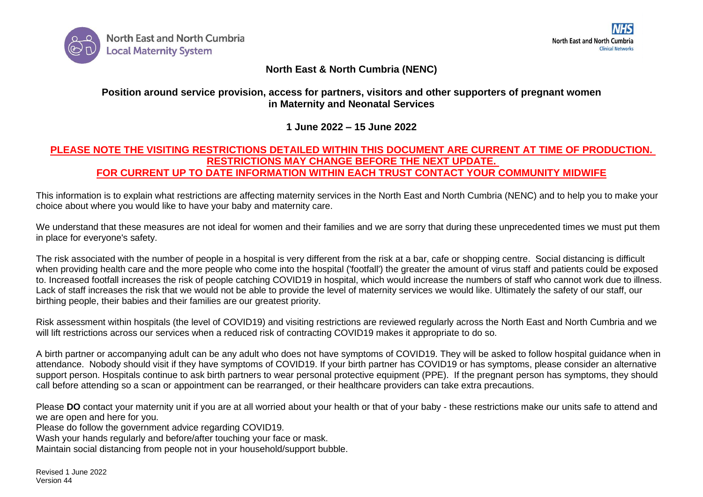

## **North East & North Cumbria (NENC)**

## **Position around service provision, access for partners, visitors and other supporters of pregnant women in Maternity and Neonatal Services**

**1 June 2022 – 15 June 2022**

## **PLEASE NOTE THE VISITING RESTRICTIONS DETAILED WITHIN THIS DOCUMENT ARE CURRENT AT TIME OF PRODUCTION. RESTRICTIONS MAY CHANGE BEFORE THE NEXT UPDATE. FOR CURRENT UP TO DATE INFORMATION WITHIN EACH TRUST CONTACT YOUR COMMUNITY MIDWIFE**

This information is to explain what restrictions are affecting maternity services in the North East and North Cumbria (NENC) and to help you to make your choice about where you would like to have your baby and maternity care.

We understand that these measures are not ideal for women and their families and we are sorry that during these unprecedented times we must put them in place for everyone's safety.

The risk associated with the number of people in a hospital is very different from the risk at a bar, cafe or shopping centre. Social distancing is difficult when providing health care and the more people who come into the hospital ('footfall') the greater the amount of virus staff and patients could be exposed to. Increased footfall increases the risk of people catching COVID19 in hospital, which would increase the numbers of staff who cannot work due to illness. Lack of staff increases the risk that we would not be able to provide the level of maternity services we would like. Ultimately the safety of our staff, our birthing people, their babies and their families are our greatest priority.

Risk assessment within hospitals (the level of COVID19) and visiting restrictions are reviewed regularly across the North East and North Cumbria and we will lift restrictions across our services when a reduced risk of contracting COVID19 makes it appropriate to do so.

A birth partner or accompanying adult can be any adult who does not have symptoms of COVID19. They will be asked to follow hospital guidance when in attendance. Nobody should visit if they have symptoms of COVID19. If your birth partner has COVID19 or has symptoms, please consider an alternative support person. Hospitals continue to ask birth partners to wear personal protective equipment (PPE). If the pregnant person has symptoms, they should call before attending so a scan or appointment can be rearranged, or their healthcare providers can take extra precautions.

Please **DO** contact your maternity unit if you are at all worried about your health or that of your baby - these restrictions make our units safe to attend and we are open and here for you.

Please do follow the government advice regarding COVID19.

Wash your hands regularly and before/after touching your face or mask.

Maintain social distancing from people not in your household/support bubble.

Revised 1 June 2022 Version 44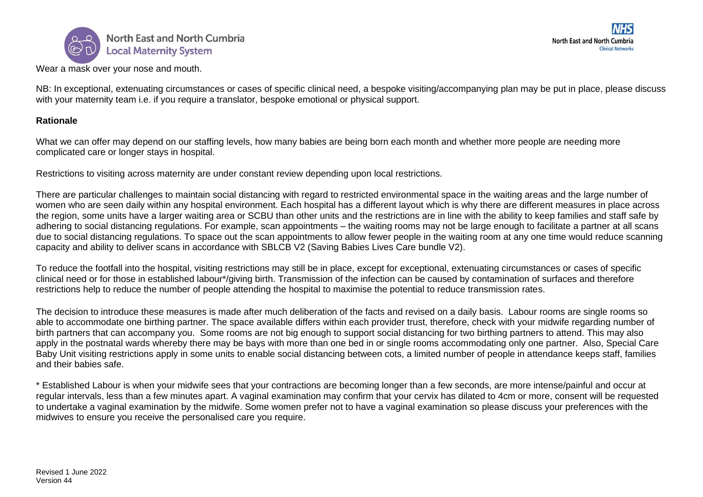

 $\overline{\phantom{a}}$ Wear a mask over your nose and mouth. North East and North Cumbria **Clinical Networks** 

NB: In exceptional, extenuating circumstances or cases of specific clinical need, a bespoke visiting/accompanying plan may be put in place, please discuss with your maternity team i.e. if you require a translator, bespoke emotional or physical support.

## **Rationale**

What we can offer may depend on our staffing levels, how many babies are being born each month and whether more people are needing more complicated care or longer stays in hospital.

Restrictions to visiting across maternity are under constant review depending upon local restrictions.

There are particular challenges to maintain social distancing with regard to restricted environmental space in the waiting areas and the large number of women who are seen daily within any hospital environment. Each hospital has a different layout which is why there are different measures in place across the region, some units have a larger waiting area or SCBU than other units and the restrictions are in line with the ability to keep families and staff safe by adhering to social distancing regulations. For example, scan appointments – the waiting rooms may not be large enough to facilitate a partner at all scans due to social distancing regulations. To space out the scan appointments to allow fewer people in the waiting room at any one time would reduce scanning capacity and ability to deliver scans in accordance with SBLCB V2 (Saving Babies Lives Care bundle V2).

To reduce the footfall into the hospital, visiting restrictions may still be in place, except for exceptional, extenuating circumstances or cases of specific clinical need or for those in established labour\*/giving birth. Transmission of the infection can be caused by contamination of surfaces and therefore restrictions help to reduce the number of people attending the hospital to maximise the potential to reduce transmission rates.

The decision to introduce these measures is made after much deliberation of the facts and revised on a daily basis. Labour rooms are single rooms so able to accommodate one birthing partner. The space available differs within each provider trust, therefore, check with your midwife regarding number of birth partners that can accompany you. Some rooms are not big enough to support social distancing for two birthing partners to attend. This may also apply in the postnatal wards whereby there may be bays with more than one bed in or single rooms accommodating only one partner. Also, Special Care Baby Unit visiting restrictions apply in some units to enable social distancing between cots, a limited number of people in attendance keeps staff, families and their babies safe.

\* Established Labour is when your midwife sees that your contractions are becoming longer than a few seconds, are more intense/painful and occur at regular intervals, less than a few minutes apart. A vaginal examination may confirm that your cervix has dilated to 4cm or more, consent will be requested to undertake a vaginal examination by the midwife. Some women prefer not to have a vaginal examination so please discuss your preferences with the midwives to ensure you receive the personalised care you require.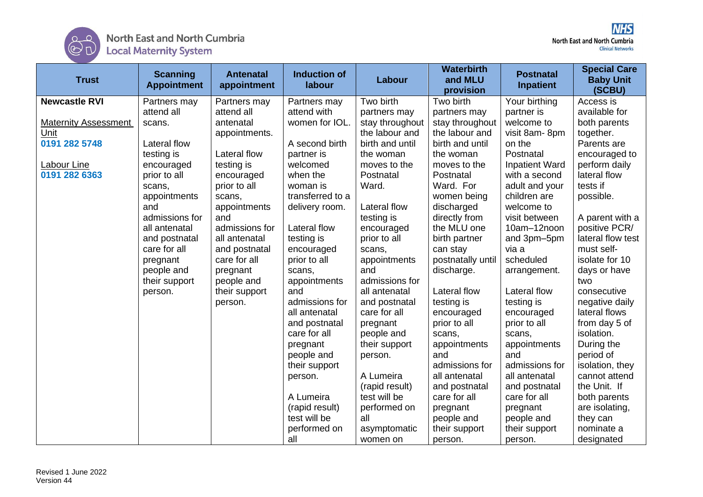

| <b>Trust</b>                | <b>Scanning</b><br><b>Appointment</b> | <b>Antenatal</b><br>appointment | <b>Induction of</b><br>labour | Labour          | <b>Waterbirth</b><br>and MLU<br>provision | <b>Postnatal</b><br>Inpatient | <b>Special Care</b><br><b>Baby Unit</b><br>(SCBU) |
|-----------------------------|---------------------------------------|---------------------------------|-------------------------------|-----------------|-------------------------------------------|-------------------------------|---------------------------------------------------|
| <b>Newcastle RVI</b>        | Partners may                          | Partners may                    | Partners may                  | Two birth       | Two birth                                 | Your birthing                 | Access is                                         |
|                             | attend all                            | attend all                      | attend with                   | partners may    | partners may                              | partner is                    | available for                                     |
| <b>Maternity Assessment</b> | scans.                                | antenatal                       | women for IOL.                | stay throughout | stay throughout                           | welcome to                    | both parents                                      |
| Unit                        |                                       | appointments.                   |                               | the labour and  | the labour and                            | visit 8am-8pm                 | together.                                         |
| 0191 282 5748               | Lateral flow                          |                                 | A second birth                | birth and until | birth and until                           | on the                        | Parents are                                       |
|                             | testing is                            | <b>Lateral flow</b>             | partner is                    | the woman       | the woman                                 | Postnatal                     | encouraged to                                     |
| Labour Line                 | encouraged                            | testing is                      | welcomed                      | moves to the    | moves to the                              | <b>Inpatient Ward</b>         | perform daily                                     |
| 0191 282 6363               | prior to all                          | encouraged                      | when the                      | Postnatal       | Postnatal                                 | with a second                 | lateral flow                                      |
|                             | scans,                                | prior to all                    | woman is                      | Ward.           | Ward. For                                 | adult and your                | tests if                                          |
|                             | appointments                          | scans,                          | transferred to a              |                 | women being                               | children are                  | possible.                                         |
|                             | and                                   | appointments                    | delivery room.                | Lateral flow    | discharged                                | welcome to                    |                                                   |
|                             | admissions for                        | and                             |                               | testing is      | directly from                             | visit between                 | A parent with a                                   |
|                             | all antenatal                         | admissions for                  | Lateral flow                  | encouraged      | the MLU one                               | 10am-12noon                   | positive PCR/                                     |
|                             | and postnatal                         | all antenatal                   | testing is                    | prior to all    | birth partner                             | and 3pm-5pm                   | lateral flow test                                 |
|                             | care for all                          | and postnatal                   | encouraged                    | scans,          | can stay                                  | via a                         | must self-                                        |
|                             | pregnant                              | care for all                    | prior to all                  | appointments    | postnatally until                         | scheduled                     | isolate for 10                                    |
|                             | people and                            | pregnant                        | scans,                        | and             | discharge.                                | arrangement.                  | days or have                                      |
|                             | their support                         | people and                      | appointments                  | admissions for  |                                           |                               | two                                               |
|                             | person.                               | their support                   | and                           | all antenatal   | Lateral flow                              | Lateral flow                  | consecutive                                       |
|                             |                                       | person.                         | admissions for                | and postnatal   | testing is                                | testing is                    | negative daily                                    |
|                             |                                       |                                 | all antenatal                 | care for all    | encouraged                                | encouraged                    | lateral flows                                     |
|                             |                                       |                                 | and postnatal                 | pregnant        | prior to all                              | prior to all                  | from day 5 of                                     |
|                             |                                       |                                 | care for all                  | people and      | scans,                                    | scans,                        | isolation.                                        |
|                             |                                       |                                 | pregnant                      | their support   | appointments                              | appointments                  | During the                                        |
|                             |                                       |                                 | people and                    | person.         | and                                       | and                           | period of                                         |
|                             |                                       |                                 | their support                 |                 | admissions for                            | admissions for                | isolation, they                                   |
|                             |                                       |                                 | person.                       | A Lumeira       | all antenatal                             | all antenatal                 | cannot attend                                     |
|                             |                                       |                                 |                               | (rapid result)  | and postnatal                             | and postnatal                 | the Unit. If                                      |
|                             |                                       |                                 | A Lumeira                     | test will be    | care for all                              | care for all                  | both parents                                      |
|                             |                                       |                                 | (rapid result)                | performed on    | pregnant                                  | pregnant                      | are isolating,                                    |
|                             |                                       |                                 | test will be                  | all             | people and                                | people and                    | they can                                          |
|                             |                                       |                                 | performed on                  | asymptomatic    | their support                             | their support                 | nominate a                                        |
|                             |                                       |                                 | all                           | women on        | person.                                   | person.                       | designated                                        |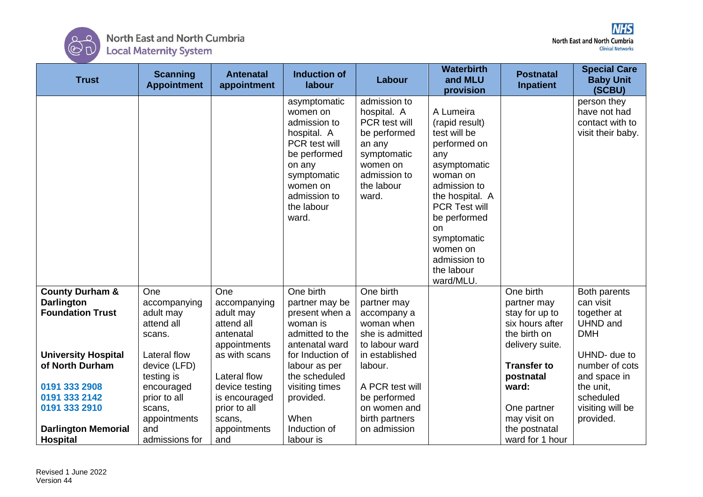

| <b>Trust</b>                                                                                                                                                                   | <b>Scanning</b><br><b>Appointment</b>                                                                                                                          | <b>Antenatal</b><br>appointment                                                                                                                                           | <b>Induction of</b><br>labour                                                                                                                                                               | Labour                                                                                                                                                                                       | <b>Waterbirth</b><br>and MLU<br>provision                                                                                                                                                                                                      | <b>Postnatal</b><br><b>Inpatient</b>                                                                                                                                        | <b>Special Care</b><br><b>Baby Unit</b><br>(SCBU)                                                                                                                                      |
|--------------------------------------------------------------------------------------------------------------------------------------------------------------------------------|----------------------------------------------------------------------------------------------------------------------------------------------------------------|---------------------------------------------------------------------------------------------------------------------------------------------------------------------------|---------------------------------------------------------------------------------------------------------------------------------------------------------------------------------------------|----------------------------------------------------------------------------------------------------------------------------------------------------------------------------------------------|------------------------------------------------------------------------------------------------------------------------------------------------------------------------------------------------------------------------------------------------|-----------------------------------------------------------------------------------------------------------------------------------------------------------------------------|----------------------------------------------------------------------------------------------------------------------------------------------------------------------------------------|
|                                                                                                                                                                                |                                                                                                                                                                |                                                                                                                                                                           | asymptomatic<br>women on<br>admission to<br>hospital. A<br>PCR test will<br>be performed<br>on any<br>symptomatic<br>women on<br>admission to<br>the labour<br>ward.                        | admission to<br>hospital. A<br>PCR test will<br>be performed<br>an any<br>symptomatic<br>women on<br>admission to<br>the labour<br>ward.                                                     | A Lumeira<br>(rapid result)<br>test will be<br>performed on<br>any<br>asymptomatic<br>woman on<br>admission to<br>the hospital. A<br>PCR Test will<br>be performed<br>on<br>symptomatic<br>women on<br>admission to<br>the labour<br>ward/MLU. |                                                                                                                                                                             | person they<br>have not had<br>contact with to<br>visit their baby.                                                                                                                    |
| <b>County Durham &amp;</b><br><b>Darlington</b><br><b>Foundation Trust</b><br><b>University Hospital</b><br>of North Durham<br>0191 333 2908<br>0191 333 2142<br>0191 333 2910 | One<br>accompanying<br>adult may<br>attend all<br>scans.<br>Lateral flow<br>device (LFD)<br>testing is<br>encouraged<br>prior to all<br>scans,<br>appointments | One<br>accompanying<br>adult may<br>attend all<br>antenatal<br>appointments<br>as with scans<br>Lateral flow<br>device testing<br>is encouraged<br>prior to all<br>scans, | One birth<br>partner may be<br>present when a<br>woman is<br>admitted to the<br>antenatal ward<br>for Induction of<br>labour as per<br>the scheduled<br>visiting times<br>provided.<br>When | One birth<br>partner may<br>accompany a<br>woman when<br>she is admitted<br>to labour ward<br>in established<br>labour.<br>A PCR test will<br>be performed<br>on women and<br>birth partners |                                                                                                                                                                                                                                                | One birth<br>partner may<br>stay for up to<br>six hours after<br>the birth on<br>delivery suite.<br><b>Transfer to</b><br>postnatal<br>ward:<br>One partner<br>may visit on | Both parents<br>can visit<br>together at<br><b>UHND</b> and<br><b>DMH</b><br>UHND- due to<br>number of cots<br>and space in<br>the unit,<br>scheduled<br>visiting will be<br>provided. |
| <b>Darlington Memorial</b><br><b>Hospital</b>                                                                                                                                  | and<br>admissions for                                                                                                                                          | appointments<br>and                                                                                                                                                       | Induction of<br>labour is                                                                                                                                                                   | on admission                                                                                                                                                                                 |                                                                                                                                                                                                                                                | the postnatal<br>ward for 1 hour                                                                                                                                            |                                                                                                                                                                                        |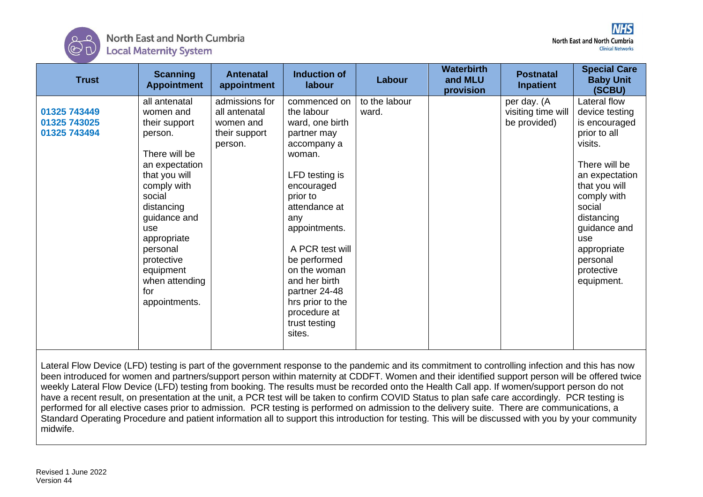

| <b>Trust</b>                                 | <b>Scanning</b><br><b>Appointment</b>                                                                                                                                                                                                                                    | <b>Antenatal</b><br>appointment                                          | <b>Induction of</b><br>labour                                                                                                                                                                                                                                                                                                  | Labour                 | <b>Waterbirth</b><br>and MLU<br>provision | <b>Postnatal</b><br>Inpatient                     | <b>Special Care</b><br><b>Baby Unit</b><br>(SCBU)                                                                                                                                                                                                   |
|----------------------------------------------|--------------------------------------------------------------------------------------------------------------------------------------------------------------------------------------------------------------------------------------------------------------------------|--------------------------------------------------------------------------|--------------------------------------------------------------------------------------------------------------------------------------------------------------------------------------------------------------------------------------------------------------------------------------------------------------------------------|------------------------|-------------------------------------------|---------------------------------------------------|-----------------------------------------------------------------------------------------------------------------------------------------------------------------------------------------------------------------------------------------------------|
| 01325 743449<br>01325 743025<br>01325 743494 | all antenatal<br>women and<br>their support<br>person.<br>There will be<br>an expectation<br>that you will<br>comply with<br>social<br>distancing<br>guidance and<br>use<br>appropriate<br>personal<br>protective<br>equipment<br>when attending<br>for<br>appointments. | admissions for<br>all antenatal<br>women and<br>their support<br>person. | commenced on<br>the labour<br>ward, one birth<br>partner may<br>accompany a<br>woman.<br>LFD testing is<br>encouraged<br>prior to<br>attendance at<br>any<br>appointments.<br>A PCR test will<br>be performed<br>on the woman<br>and her birth<br>partner 24-48<br>hrs prior to the<br>procedure at<br>trust testing<br>sites. | to the labour<br>ward. |                                           | per day. (A<br>visiting time will<br>be provided) | Lateral flow<br>device testing<br>is encouraged<br>prior to all<br>visits.<br>There will be<br>an expectation<br>that you will<br>comply with<br>social<br>distancing<br>guidance and<br>use<br>appropriate<br>personal<br>protective<br>equipment. |

Lateral Flow Device (LFD) testing is part of the government response to the pandemic and its commitment to controlling infection and this has now been introduced for women and partners/support person within maternity at CDDFT. Women and their identified support person will be offered twice weekly Lateral Flow Device (LFD) testing from booking. The results must be recorded onto the Health Call app. If women/support person do not have a recent result, on presentation at the unit, a PCR test will be taken to confirm COVID Status to plan safe care accordingly. PCR testing is performed for all elective cases prior to admission. PCR testing is performed on admission to the delivery suite. There are communications, a Standard Operating Procedure and patient information all to support this introduction for testing. This will be discussed with you by your community midwife.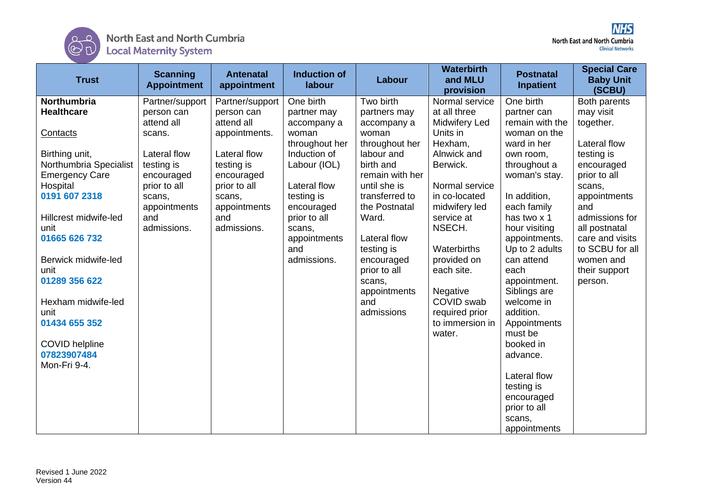

| <b>Trust</b>           | <b>Scanning</b><br><b>Appointment</b> | <b>Antenatal</b><br>appointment | <b>Induction of</b><br>labour | Labour          | <b>Waterbirth</b><br>and MLU<br>provision | <b>Postnatal</b><br><b>Inpatient</b> | <b>Special Care</b><br><b>Baby Unit</b><br>(SCBU) |
|------------------------|---------------------------------------|---------------------------------|-------------------------------|-----------------|-------------------------------------------|--------------------------------------|---------------------------------------------------|
| Northumbria            | Partner/support                       | Partner/support                 | One birth                     | Two birth       | Normal service                            | One birth                            | Both parents                                      |
| <b>Healthcare</b>      | person can                            | person can                      | partner may                   | partners may    | at all three                              | partner can                          | may visit                                         |
|                        | attend all                            | attend all                      | accompany a                   | accompany a     | Midwifery Led                             | remain with the                      | together.                                         |
| Contacts               | scans.                                | appointments.                   | woman                         | woman           | Units in                                  | woman on the                         |                                                   |
|                        |                                       |                                 | throughout her                | throughout her  | Hexham,                                   | ward in her                          | Lateral flow                                      |
| Birthing unit,         | <b>Lateral flow</b>                   | Lateral flow                    | Induction of                  | labour and      | Alnwick and                               | own room,                            | testing is                                        |
| Northumbria Specialist | testing is                            | testing is                      | Labour (IOL)                  | birth and       | Berwick.                                  | throughout a                         | encouraged                                        |
| <b>Emergency Care</b>  | encouraged                            | encouraged                      |                               | remain with her |                                           | woman's stay.                        | prior to all                                      |
| Hospital               | prior to all                          | prior to all                    | Lateral flow                  | until she is    | Normal service                            |                                      | scans,                                            |
| 0191 607 2318          | scans,                                | scans,                          | testing is                    | transferred to  | in co-located                             | In addition,                         | appointments                                      |
|                        | appointments                          | appointments                    | encouraged                    | the Postnatal   | midwifery led                             | each family                          | and                                               |
| Hillcrest midwife-led  | and                                   | and                             | prior to all                  | Ward.           | service at                                | has two x 1                          | admissions for                                    |
| unit                   | admissions.                           | admissions.                     | scans,                        |                 | NSECH.                                    | hour visiting                        | all postnatal                                     |
| 01665 626 732          |                                       |                                 | appointments                  | Lateral flow    |                                           | appointments.                        | care and visits                                   |
|                        |                                       |                                 | and                           | testing is      | Waterbirths                               | Up to 2 adults                       | to SCBU for all                                   |
| Berwick midwife-led    |                                       |                                 | admissions.                   | encouraged      | provided on                               | can attend                           | women and                                         |
| unit                   |                                       |                                 |                               | prior to all    | each site.                                | each                                 | their support                                     |
| 01289 356 622          |                                       |                                 |                               | scans,          |                                           | appointment.                         | person.                                           |
|                        |                                       |                                 |                               | appointments    | Negative                                  | Siblings are                         |                                                   |
| Hexham midwife-led     |                                       |                                 |                               | and             | COVID swab                                | welcome in                           |                                                   |
| unit                   |                                       |                                 |                               | admissions      | required prior                            | addition.                            |                                                   |
| 01434 655 352          |                                       |                                 |                               |                 | to immersion in                           | Appointments                         |                                                   |
|                        |                                       |                                 |                               |                 | water.                                    | must be                              |                                                   |
| <b>COVID helpline</b>  |                                       |                                 |                               |                 |                                           | booked in                            |                                                   |
| 07823907484            |                                       |                                 |                               |                 |                                           | advance.                             |                                                   |
| Mon-Fri 9-4.           |                                       |                                 |                               |                 |                                           |                                      |                                                   |
|                        |                                       |                                 |                               |                 |                                           | Lateral flow                         |                                                   |
|                        |                                       |                                 |                               |                 |                                           | testing is                           |                                                   |
|                        |                                       |                                 |                               |                 |                                           | encouraged                           |                                                   |
|                        |                                       |                                 |                               |                 |                                           | prior to all                         |                                                   |
|                        |                                       |                                 |                               |                 |                                           | scans,                               |                                                   |
|                        |                                       |                                 |                               |                 |                                           | appointments                         |                                                   |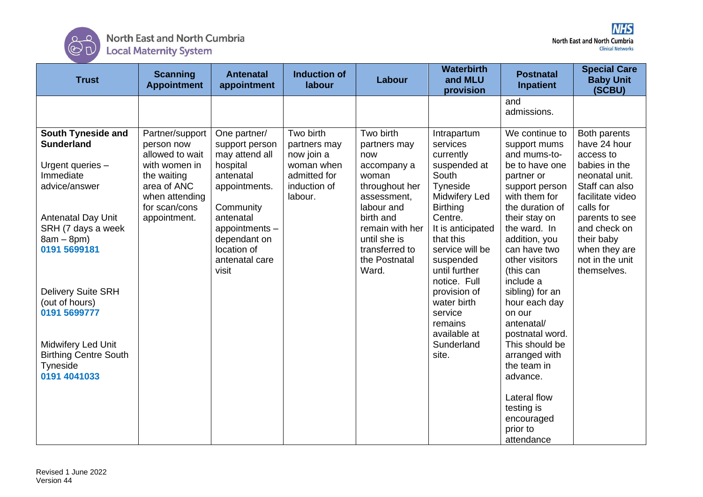

| <b>Trust</b>                                                                                                                  | <b>Scanning</b><br><b>Appointment</b>                                                                                                              | <b>Antenatal</b><br>appointment                                                                                      | <b>Induction of</b><br>labour                                                                    | Labour                                                                                                               | <b>Waterbirth</b><br>and MLU<br>provision                                                                                       | <b>Postnatal</b><br><b>Inpatient</b>                                                                                                                  | <b>Special Care</b><br><b>Baby Unit</b><br>(SCBU)                                                                                                 |
|-------------------------------------------------------------------------------------------------------------------------------|----------------------------------------------------------------------------------------------------------------------------------------------------|----------------------------------------------------------------------------------------------------------------------|--------------------------------------------------------------------------------------------------|----------------------------------------------------------------------------------------------------------------------|---------------------------------------------------------------------------------------------------------------------------------|-------------------------------------------------------------------------------------------------------------------------------------------------------|---------------------------------------------------------------------------------------------------------------------------------------------------|
|                                                                                                                               |                                                                                                                                                    |                                                                                                                      |                                                                                                  |                                                                                                                      |                                                                                                                                 | and<br>admissions.                                                                                                                                    |                                                                                                                                                   |
| <b>South Tyneside and</b><br><b>Sunderland</b><br>Urgent queries -<br>Immediate<br>advice/answer<br><b>Antenatal Day Unit</b> | Partner/support<br>person now<br>allowed to wait<br>with women in<br>the waiting<br>area of ANC<br>when attending<br>for scan/cons<br>appointment. | One partner/<br>support person<br>may attend all<br>hospital<br>antenatal<br>appointments.<br>Community<br>antenatal | Two birth<br>partners may<br>now join a<br>woman when<br>admitted for<br>induction of<br>labour. | Two birth<br>partners may<br>now<br>accompany a<br>woman<br>throughout her<br>assessment.<br>labour and<br>birth and | Intrapartum<br>services<br>currently<br>suspended at<br>South<br>Tyneside<br><b>Midwifery Led</b><br><b>Birthing</b><br>Centre. | We continue to<br>support mums<br>and mums-to-<br>be to have one<br>partner or<br>support person<br>with them for<br>the duration of<br>their stay on | Both parents<br>have 24 hour<br>access to<br>babies in the<br>neonatal unit.<br>Staff can also<br>facilitate video<br>calls for<br>parents to see |
| SRH (7 days a week<br>$8am - 8pm$ )<br>0191 5699181                                                                           |                                                                                                                                                    | appointments -<br>dependant on<br>location of<br>antenatal care<br>visit                                             |                                                                                                  | remain with her<br>until she is<br>transferred to<br>the Postnatal<br>Ward.                                          | It is anticipated<br>that this<br>service will be<br>suspended<br>until further<br>notice. Full                                 | the ward. In<br>addition, you<br>can have two<br>other visitors<br>(this can<br>include a                                                             | and check on<br>their baby<br>when they are<br>not in the unit<br>themselves.                                                                     |
| <b>Delivery Suite SRH</b><br>(out of hours)<br>0191 5699777                                                                   |                                                                                                                                                    |                                                                                                                      |                                                                                                  |                                                                                                                      | provision of<br>water birth<br>service<br>remains<br>available at                                                               | sibling) for an<br>hour each day<br>on our<br>antenatal/<br>postnatal word.                                                                           |                                                                                                                                                   |
| Midwifery Led Unit<br><b>Birthing Centre South</b><br>Tyneside<br>0191 4041033                                                |                                                                                                                                                    |                                                                                                                      |                                                                                                  |                                                                                                                      | Sunderland<br>site.                                                                                                             | This should be<br>arranged with<br>the team in<br>advance.                                                                                            |                                                                                                                                                   |
|                                                                                                                               |                                                                                                                                                    |                                                                                                                      |                                                                                                  |                                                                                                                      |                                                                                                                                 | Lateral flow<br>testing is<br>encouraged<br>prior to<br>attendance                                                                                    |                                                                                                                                                   |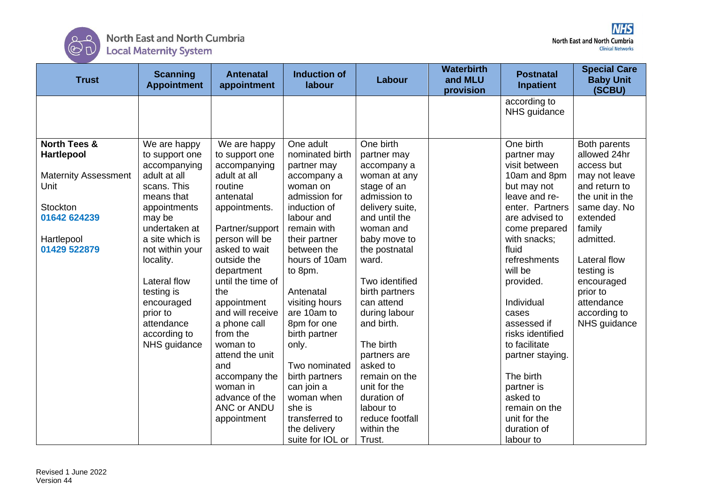

| <b>Trust</b>                                                                                                                                  | <b>Scanning</b><br><b>Appointment</b>                                                                                                                                                                                                                                                           | <b>Antenatal</b><br>appointment                                                                                                                                                                                                                                                                                                                                                                          | <b>Induction of</b><br>labour                                                                                                                                                                                                                                                                                                                                                                      | Labour                                                                                                                                                                                                                                                                                                                                                                                                    | <b>Waterbirth</b><br>and MLU<br>provision | <b>Postnatal</b><br><b>Inpatient</b>                                                                                                                                                                                                                                                                                                                                                                   | <b>Special Care</b><br><b>Baby Unit</b><br>(SCBU)                                                                                                                                                                                                        |
|-----------------------------------------------------------------------------------------------------------------------------------------------|-------------------------------------------------------------------------------------------------------------------------------------------------------------------------------------------------------------------------------------------------------------------------------------------------|----------------------------------------------------------------------------------------------------------------------------------------------------------------------------------------------------------------------------------------------------------------------------------------------------------------------------------------------------------------------------------------------------------|----------------------------------------------------------------------------------------------------------------------------------------------------------------------------------------------------------------------------------------------------------------------------------------------------------------------------------------------------------------------------------------------------|-----------------------------------------------------------------------------------------------------------------------------------------------------------------------------------------------------------------------------------------------------------------------------------------------------------------------------------------------------------------------------------------------------------|-------------------------------------------|--------------------------------------------------------------------------------------------------------------------------------------------------------------------------------------------------------------------------------------------------------------------------------------------------------------------------------------------------------------------------------------------------------|----------------------------------------------------------------------------------------------------------------------------------------------------------------------------------------------------------------------------------------------------------|
|                                                                                                                                               |                                                                                                                                                                                                                                                                                                 |                                                                                                                                                                                                                                                                                                                                                                                                          |                                                                                                                                                                                                                                                                                                                                                                                                    |                                                                                                                                                                                                                                                                                                                                                                                                           |                                           | according to<br>NHS guidance                                                                                                                                                                                                                                                                                                                                                                           |                                                                                                                                                                                                                                                          |
| <b>North Tees &amp;</b><br><b>Hartlepool</b><br><b>Maternity Assessment</b><br>Unit<br>Stockton<br>01642 624239<br>Hartlepool<br>01429 522879 | We are happy<br>to support one<br>accompanying<br>adult at all<br>scans. This<br>means that<br>appointments<br>may be<br>undertaken at<br>a site which is<br>not within your<br>locality.<br>Lateral flow<br>testing is<br>encouraged<br>prior to<br>attendance<br>according to<br>NHS guidance | We are happy<br>to support one<br>accompanying<br>adult at all<br>routine<br>antenatal<br>appointments.<br>Partner/support<br>person will be<br>asked to wait<br>outside the<br>department<br>until the time of<br>the<br>appointment<br>and will receive<br>a phone call<br>from the<br>woman to<br>attend the unit<br>and<br>accompany the<br>woman in<br>advance of the<br>ANC or ANDU<br>appointment | One adult<br>nominated birth<br>partner may<br>accompany a<br>woman on<br>admission for<br>induction of<br>labour and<br>remain with<br>their partner<br>between the<br>hours of 10am<br>to 8pm.<br>Antenatal<br>visiting hours<br>are 10am to<br>8pm for one<br>birth partner<br>only.<br>Two nominated<br>birth partners<br>can join a<br>woman when<br>she is<br>transferred to<br>the delivery | One birth<br>partner may<br>accompany a<br>woman at any<br>stage of an<br>admission to<br>delivery suite,<br>and until the<br>woman and<br>baby move to<br>the postnatal<br>ward.<br>Two identified<br>birth partners<br>can attend<br>during labour<br>and birth.<br>The birth<br>partners are<br>asked to<br>remain on the<br>unit for the<br>duration of<br>labour to<br>reduce footfall<br>within the |                                           | One birth<br>partner may<br>visit between<br>10am and 8pm<br>but may not<br>leave and re-<br>enter. Partners<br>are advised to<br>come prepared<br>with snacks;<br>fluid<br>refreshments<br>will be<br>provided.<br>Individual<br>cases<br>assessed if<br>risks identified<br>to facilitate<br>partner staying.<br>The birth<br>partner is<br>asked to<br>remain on the<br>unit for the<br>duration of | Both parents<br>allowed 24hr<br>access but<br>may not leave<br>and return to<br>the unit in the<br>same day. No<br>extended<br>family<br>admitted.<br>Lateral flow<br>testing is<br>encouraged<br>prior to<br>attendance<br>according to<br>NHS guidance |
|                                                                                                                                               |                                                                                                                                                                                                                                                                                                 |                                                                                                                                                                                                                                                                                                                                                                                                          | suite for IOL or                                                                                                                                                                                                                                                                                                                                                                                   | Trust.                                                                                                                                                                                                                                                                                                                                                                                                    |                                           | labour to                                                                                                                                                                                                                                                                                                                                                                                              |                                                                                                                                                                                                                                                          |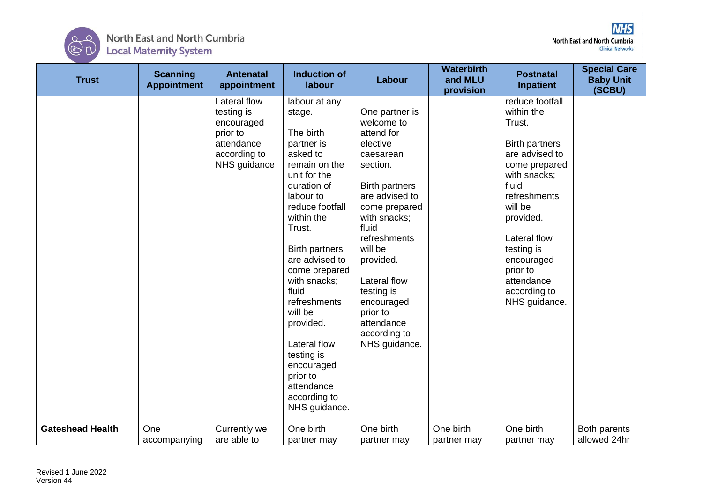

| <b>Trust</b>            | <b>Scanning</b><br><b>Appointment</b> | <b>Antenatal</b><br>appointment                                                                    | <b>Induction of</b><br>labour                                                                                                                                                                                                                                                                                                                                                                              | Labour                                                                                                                                                                                                                                                                                                              | <b>Waterbirth</b><br>and MLU<br>provision | <b>Postnatal</b><br><b>Inpatient</b>                                                                                                                                                                                                                                        | <b>Special Care</b><br><b>Baby Unit</b><br>(SCBU) |
|-------------------------|---------------------------------------|----------------------------------------------------------------------------------------------------|------------------------------------------------------------------------------------------------------------------------------------------------------------------------------------------------------------------------------------------------------------------------------------------------------------------------------------------------------------------------------------------------------------|---------------------------------------------------------------------------------------------------------------------------------------------------------------------------------------------------------------------------------------------------------------------------------------------------------------------|-------------------------------------------|-----------------------------------------------------------------------------------------------------------------------------------------------------------------------------------------------------------------------------------------------------------------------------|---------------------------------------------------|
|                         |                                       | Lateral flow<br>testing is<br>encouraged<br>prior to<br>attendance<br>according to<br>NHS guidance | labour at any<br>stage.<br>The birth<br>partner is<br>asked to<br>remain on the<br>unit for the<br>duration of<br>labour to<br>reduce footfall<br>within the<br>Trust.<br><b>Birth partners</b><br>are advised to<br>come prepared<br>with snacks;<br>fluid<br>refreshments<br>will be<br>provided.<br>Lateral flow<br>testing is<br>encouraged<br>prior to<br>attendance<br>according to<br>NHS guidance. | One partner is<br>welcome to<br>attend for<br>elective<br>caesarean<br>section.<br><b>Birth partners</b><br>are advised to<br>come prepared<br>with snacks;<br>fluid<br>refreshments<br>will be<br>provided.<br>Lateral flow<br>testing is<br>encouraged<br>prior to<br>attendance<br>according to<br>NHS guidance. |                                           | reduce footfall<br>within the<br>Trust.<br><b>Birth partners</b><br>are advised to<br>come prepared<br>with snacks;<br>fluid<br>refreshments<br>will be<br>provided.<br>Lateral flow<br>testing is<br>encouraged<br>prior to<br>attendance<br>according to<br>NHS guidance. |                                                   |
| <b>Gateshead Health</b> | One<br>accompanying                   | Currently we<br>are able to                                                                        | One birth<br>partner may                                                                                                                                                                                                                                                                                                                                                                                   | One birth<br>partner may                                                                                                                                                                                                                                                                                            | One birth<br>partner may                  | One birth<br>partner may                                                                                                                                                                                                                                                    | Both parents<br>allowed 24hr                      |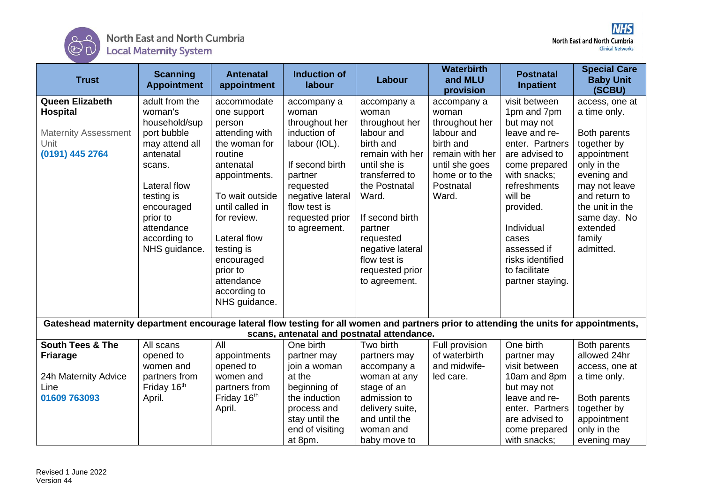

| <b>Trust</b>                                                                                                                            | <b>Scanning</b><br><b>Appointment</b> | <b>Antenatal</b><br>appointment | <b>Induction of</b><br>labour              | Labour               | <b>Waterbirth</b><br>and MLU<br>provision | <b>Postnatal</b><br><b>Inpatient</b> | <b>Special Care</b><br><b>Baby Unit</b><br>(SCBU) |
|-----------------------------------------------------------------------------------------------------------------------------------------|---------------------------------------|---------------------------------|--------------------------------------------|----------------------|-------------------------------------------|--------------------------------------|---------------------------------------------------|
| <b>Queen Elizabeth</b>                                                                                                                  | adult from the                        | accommodate                     | accompany a                                | accompany a          | accompany a                               | visit between                        | access, one at                                    |
| <b>Hospital</b>                                                                                                                         | woman's                               | one support                     | woman                                      | woman                | woman                                     | 1pm and 7pm                          | a time only.                                      |
|                                                                                                                                         | household/sup                         | person                          | throughout her                             | throughout her       | throughout her                            | but may not                          |                                                   |
| <b>Maternity Assessment</b>                                                                                                             | port bubble                           | attending with                  | induction of                               | labour and           | labour and                                | leave and re-                        | Both parents                                      |
| Unit                                                                                                                                    | may attend all                        | the woman for                   | labour (IOL).                              | birth and            | birth and                                 | enter. Partners                      | together by                                       |
| (0191) 445 2764                                                                                                                         | antenatal                             | routine                         |                                            | remain with her      | remain with her                           | are advised to                       | appointment                                       |
|                                                                                                                                         | scans.                                | antenatal                       | If second birth                            | until she is         | until she goes                            | come prepared                        | only in the                                       |
|                                                                                                                                         |                                       | appointments.                   | partner                                    | transferred to       | home or to the                            | with snacks;                         | evening and                                       |
|                                                                                                                                         | Lateral flow                          |                                 | requested                                  | the Postnatal        | Postnatal                                 | refreshments                         | may not leave                                     |
|                                                                                                                                         | testing is                            | To wait outside                 | negative lateral                           | Ward.                | Ward.                                     | will be                              | and return to                                     |
|                                                                                                                                         | encouraged                            | until called in                 | flow test is                               |                      |                                           | provided.                            | the unit in the                                   |
|                                                                                                                                         | prior to                              | for review.                     | requested prior                            | If second birth      |                                           | Individual                           | same day. No<br>extended                          |
|                                                                                                                                         | attendance<br>according to            | Lateral flow                    | to agreement.                              | partner<br>requested |                                           | cases                                | family                                            |
|                                                                                                                                         | NHS guidance.                         | testing is                      |                                            | negative lateral     |                                           | assessed if                          | admitted.                                         |
|                                                                                                                                         |                                       | encouraged                      |                                            | flow test is         |                                           | risks identified                     |                                                   |
|                                                                                                                                         |                                       | prior to                        |                                            | requested prior      |                                           | to facilitate                        |                                                   |
|                                                                                                                                         |                                       | attendance                      |                                            | to agreement.        |                                           | partner staying.                     |                                                   |
|                                                                                                                                         |                                       | according to                    |                                            |                      |                                           |                                      |                                                   |
|                                                                                                                                         |                                       | NHS guidance.                   |                                            |                      |                                           |                                      |                                                   |
|                                                                                                                                         |                                       |                                 |                                            |                      |                                           |                                      |                                                   |
| Gateshead maternity department encourage lateral flow testing for all women and partners prior to attending the units for appointments, |                                       |                                 |                                            |                      |                                           |                                      |                                                   |
|                                                                                                                                         |                                       |                                 | scans, antenatal and postnatal attendance. |                      |                                           |                                      |                                                   |
| <b>South Tees &amp; The</b>                                                                                                             | All scans                             | All                             | One birth                                  | Two birth            | Full provision                            | One birth                            | Both parents                                      |
| <b>Friarage</b>                                                                                                                         | opened to                             | appointments                    | partner may                                | partners may         | of waterbirth                             | partner may                          | allowed 24hr                                      |
|                                                                                                                                         | women and                             | opened to                       | join a woman                               | accompany a          | and midwife-                              | visit between                        | access, one at                                    |
| 24h Maternity Advice                                                                                                                    | partners from                         | women and                       | at the                                     | woman at any         | led care.                                 | 10am and 8pm                         | a time only.                                      |
| Line                                                                                                                                    | Friday 16th                           | partners from                   | beginning of                               | stage of an          |                                           | but may not                          |                                                   |
| 01609 763093                                                                                                                            | April.                                | Friday 16th                     | the induction                              | admission to         |                                           | leave and re-                        | Both parents                                      |
|                                                                                                                                         |                                       | April.                          | process and                                | delivery suite,      |                                           | enter. Partners                      | together by                                       |
|                                                                                                                                         |                                       |                                 | stay until the                             | and until the        |                                           | are advised to                       | appointment                                       |
|                                                                                                                                         |                                       |                                 | end of visiting                            | woman and            |                                           | come prepared<br>with snacks;        | only in the                                       |
|                                                                                                                                         |                                       |                                 | at 8pm.                                    | baby move to         |                                           |                                      | evening may                                       |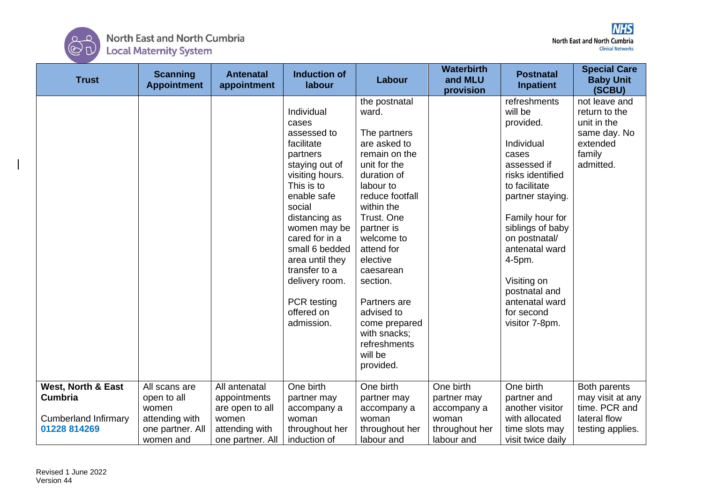

| <b>Trust</b>                                                                                   | <b>Scanning</b><br><b>Appointment</b>                                                    | <b>Antenatal</b><br>appointment                                                                 | <b>Induction of</b><br>labour                                                                                                                                                                                                                                                                                  | Labour                                                                                                                                                                                                                                                                                                                                                   | <b>Waterbirth</b><br>and MLU<br>provision                                        | <b>Postnatal</b><br><b>Inpatient</b>                                                                                                                                                                                                                                                                      | <b>Special Care</b><br><b>Baby Unit</b><br>(SCBU)                                                |
|------------------------------------------------------------------------------------------------|------------------------------------------------------------------------------------------|-------------------------------------------------------------------------------------------------|----------------------------------------------------------------------------------------------------------------------------------------------------------------------------------------------------------------------------------------------------------------------------------------------------------------|----------------------------------------------------------------------------------------------------------------------------------------------------------------------------------------------------------------------------------------------------------------------------------------------------------------------------------------------------------|----------------------------------------------------------------------------------|-----------------------------------------------------------------------------------------------------------------------------------------------------------------------------------------------------------------------------------------------------------------------------------------------------------|--------------------------------------------------------------------------------------------------|
|                                                                                                |                                                                                          |                                                                                                 | Individual<br>cases<br>assessed to<br>facilitate<br>partners<br>staying out of<br>visiting hours.<br>This is to<br>enable safe<br>social<br>distancing as<br>women may be<br>cared for in a<br>small 6 bedded<br>area until they<br>transfer to a<br>delivery room.<br>PCR testing<br>offered on<br>admission. | the postnatal<br>ward.<br>The partners<br>are asked to<br>remain on the<br>unit for the<br>duration of<br>labour to<br>reduce footfall<br>within the<br>Trust. One<br>partner is<br>welcome to<br>attend for<br>elective<br>caesarean<br>section.<br>Partners are<br>advised to<br>come prepared<br>with snacks;<br>refreshments<br>will be<br>provided. |                                                                                  | refreshments<br>will be<br>provided.<br>Individual<br>cases<br>assessed if<br>risks identified<br>to facilitate<br>partner staying.<br>Family hour for<br>siblings of baby<br>on postnatal/<br>antenatal ward<br>4-5pm.<br>Visiting on<br>postnatal and<br>antenatal ward<br>for second<br>visitor 7-8pm. | not leave and<br>return to the<br>unit in the<br>same day. No<br>extended<br>family<br>admitted. |
| <b>West, North &amp; East</b><br><b>Cumbria</b><br><b>Cumberland Infirmary</b><br>01228 814269 | All scans are<br>open to all<br>women<br>attending with<br>one partner. All<br>women and | All antenatal<br>appointments<br>are open to all<br>women<br>attending with<br>one partner. All | One birth<br>partner may<br>accompany a<br>woman<br>throughout her<br>induction of                                                                                                                                                                                                                             | One birth<br>partner may<br>accompany a<br>woman<br>throughout her<br>labour and                                                                                                                                                                                                                                                                         | One birth<br>partner may<br>accompany a<br>woman<br>throughout her<br>labour and | One birth<br>partner and<br>another visitor<br>with allocated<br>time slots may<br>visit twice daily                                                                                                                                                                                                      | Both parents<br>may visit at any<br>time. PCR and<br>lateral flow<br>testing applies.            |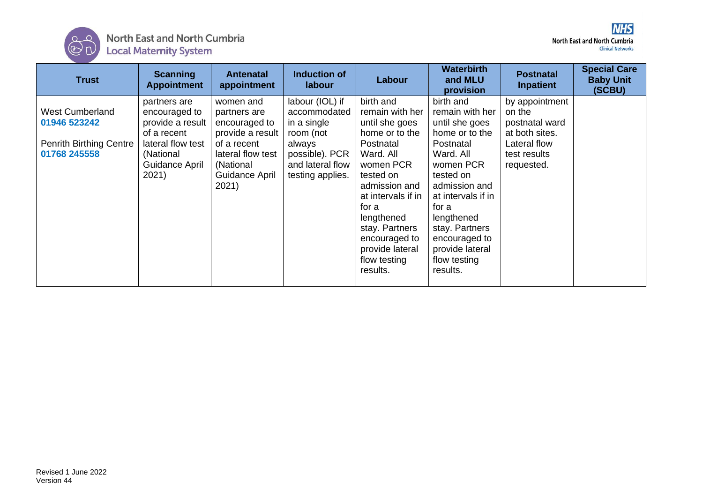

| <b>Trust</b>                                                                             | <b>Scanning</b><br><b>Appointment</b>                                                                                         | <b>Antenatal</b><br>appointment                                                                                                            | Induction of<br>labour                                                                                                          | Labour                                                                                                                                                                                                                                                               | <b>Waterbirth</b><br>and MLU<br>provision                                                                                                                                                                                                                            | <b>Postnatal</b><br><b>Inpatient</b>                                                                       | <b>Special Care</b><br><b>Baby Unit</b><br>(SCBU) |
|------------------------------------------------------------------------------------------|-------------------------------------------------------------------------------------------------------------------------------|--------------------------------------------------------------------------------------------------------------------------------------------|---------------------------------------------------------------------------------------------------------------------------------|----------------------------------------------------------------------------------------------------------------------------------------------------------------------------------------------------------------------------------------------------------------------|----------------------------------------------------------------------------------------------------------------------------------------------------------------------------------------------------------------------------------------------------------------------|------------------------------------------------------------------------------------------------------------|---------------------------------------------------|
| <b>West Cumberland</b><br>01946 523242<br><b>Penrith Birthing Centre</b><br>01768 245558 | partners are<br>encouraged to<br>provide a result<br>of a recent<br>lateral flow test<br>(National<br>Guidance April<br>2021) | women and<br>partners are<br>encouraged to<br>provide a result<br>of a recent<br>lateral flow test<br>(National<br>Guidance April<br>2021) | labour (IOL) if<br>accommodated<br>in a single<br>room (not<br>always<br>possible). PCR<br>and lateral flow<br>testing applies. | birth and<br>remain with her<br>until she goes<br>home or to the<br>Postnatal<br>Ward. All<br>women PCR<br>tested on<br>admission and<br>at intervals if in<br>for a<br>lengthened<br>stay. Partners<br>encouraged to<br>provide lateral<br>flow testing<br>results. | birth and<br>remain with her<br>until she goes<br>home or to the<br>Postnatal<br>Ward. All<br>women PCR<br>tested on<br>admission and<br>at intervals if in<br>for a<br>lengthened<br>stay. Partners<br>encouraged to<br>provide lateral<br>flow testing<br>results. | by appointment<br>on the<br>postnatal ward<br>at both sites.<br>Lateral flow<br>test results<br>requested. |                                                   |